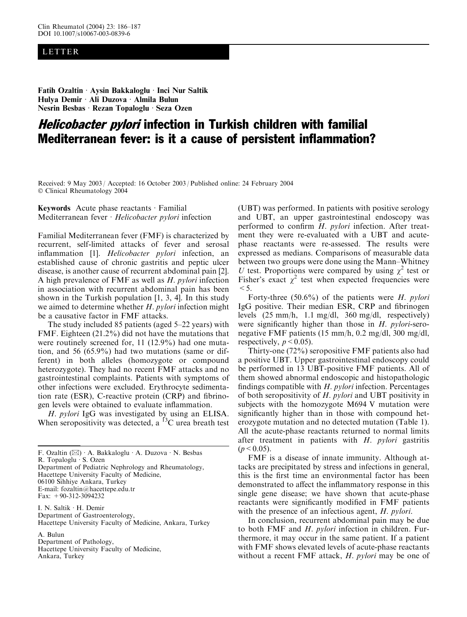## LETTER

Fatih Ozaltin Aysin Bakkaloglu Inci Nur Saltik Hulya Demir Ali Duzova Almila Bulun Nesrin Besbas · Rezan Topaloglu · Seza Ozen

## Helicobacter pylori infection in Turkish children with familial Mediterranean fever: is it a cause of persistent inflammation?

Received: 9 May 2003 / Accepted: 16 October 2003 / Published online: 24 February 2004 Clinical Rheumatology 2004

Keywords Acute phase reactants  $\cdot$  Familial Mediterranean fever  $\cdot$  Helicobacter pylori infection

Familial Mediterranean fever (FMF) is characterized by recurrent, self-limited attacks of fever and serosal inflammation [1]. Helicobacter pylori infection, an established cause of chronic gastritis and peptic ulcer disease, is another cause of recurrent abdominal pain [2]. A high prevalence of FMF as well as H. pylori infection in association with recurrent abdominal pain has been shown in the Turkish population [1, 3, 4]. In this study we aimed to determine whether H. pylori infection might be a causative factor in FMF attacks.

The study included 85 patients (aged 5–22 years) with FMF. Eighteen (21.2%) did not have the mutations that were routinely screened for, 11 (12.9%) had one mutation, and 56 (65.9%) had two mutations (same or different) in both alleles (homozygote or compound heterozygote). They had no recent FMF attacks and no gastrointestinal complaints. Patients with symptoms of other infections were excluded. Erythrocyte sedimentation rate (ESR), C-reactive protein (CRP) and fibrinogen levels were obtained to evaluate inflammation.

H. pylori IgG was investigated by using an ELISA. When seropositivity was detected, a  ${}^{13}$ C urea breath test

R. Topaloglu · S. Ozen

Department of Pediatric Nephrology and Rheumatology, Hacettepe University Faculty of Medicine, 06100 Sihhiye Ankara, Turkey E-mail: fozaltin@hacettepe.edu.tr Fax: +90-312-3094232

I. N. Saltik · H. Demir Department of Gastroenterology, Hacettepe University Faculty of Medicine, Ankara, Turkey

A. Bulun

Department of Pathology,

Hacettepe University Faculty of Medicine, Ankara, Turkey

(UBT) was performed. In patients with positive serology and UBT, an upper gastrointestinal endoscopy was performed to confirm H. pylori infection. After treatment they were re-evaluated with a UBT and acutephase reactants were re-assessed. The results were expressed as medians. Comparisons of measurable data between two groups were done using the Mann–Whitney U test. Proportions were compared by using  $\chi^2$  test or Fisher's exact  $\chi^2$  test when expected frequencies were  $<$  5.

Forty-three  $(50.6\%)$  of the patients were H. pylori IgG positive. Their median ESR, CRP and fibrinogen levels (25 mm/h, 1.1 mg/dl, 360 mg/dl, respectively) were significantly higher than those in  $H$ . *pylori*-seronegative FMF patients (15 mm/h, 0.2 mg/dl, 300 mg/dl, respectively,  $p < 0.05$ ).

Thirty-one (72%) seropositive FMF patients also had a positive UBT. Upper gastrointestinal endoscopy could be performed in 13 UBT-positive FMF patients. All of them showed abnormal endoscopic and histopathologic findings compatible with  $H.$  pylori infection. Percentages of both seropositivity of  $H.$  pylori and UBT positivity in subjects with the homozygote M694 V mutation were significantly higher than in those with compound heterozygote mutation and no detected mutation (Table 1). All the acute-phase reactants returned to normal limits after treatment in patients with H. pylori gastritis  $(p < 0.05)$ .

FMF is a disease of innate immunity. Although attacks are precipitated by stress and infections in general, this is the first time an environmental factor has been demonstrated to affect the inflammatory response in this single gene disease; we have shown that acute-phase reactants were significantly modified in FMF patients with the presence of an infectious agent, H. pylori.

In conclusion, recurrent abdominal pain may be due to both FMF and H. pylori infection in children. Furthermore, it may occur in the same patient. If a patient with FMF shows elevated levels of acute-phase reactants without a recent FMF attack, *H. pylori* may be one of

F. Ozaltin  $(\boxtimes)$  A. Bakkaloglu A. Duzova  $\cdot$  N. Besbas